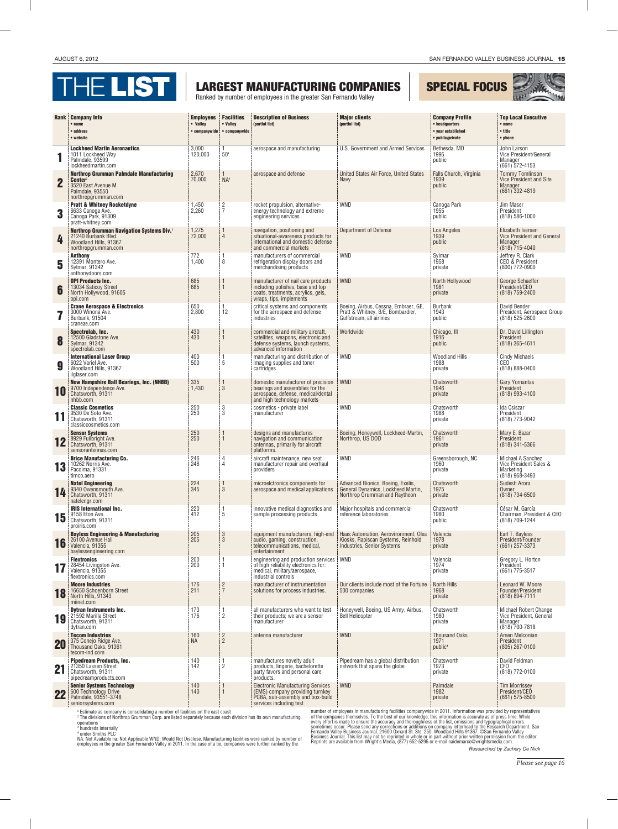

Ranked by number of employees in the greater San Fernando Valley

## special focus



|             | <b>Rank Company Info</b><br>$•$ name<br>• address<br>• website                                                                        | <b>Employees</b><br>• Valley<br>• companywide | <b>Facilities</b><br>• Valley<br>• companywide | <b>Description of Business</b><br>(partial list)                                                                                           | <b>Major clients</b><br>(partial list)                                                                   | <b>Company Profile</b><br>• headquarters<br>• year established<br>• public/private | <b>Top Local Executive</b><br>$•$ name<br>• title<br>• phone                           |
|-------------|---------------------------------------------------------------------------------------------------------------------------------------|-----------------------------------------------|------------------------------------------------|--------------------------------------------------------------------------------------------------------------------------------------------|----------------------------------------------------------------------------------------------------------|------------------------------------------------------------------------------------|----------------------------------------------------------------------------------------|
|             | <b>Lockheed Martin Aeronautics</b><br>1011 Lockheed Way<br>Palmdale, 93599<br>lockheedmartin.com                                      | 3,000<br>120,000                              | 1<br>50 <sup>1</sup>                           | aerospace and manufacturing                                                                                                                | U.S. Government and Armed Services                                                                       | Bethesda, MD<br>1995<br>public                                                     | John Larson<br>Vice President/General<br>Manager<br>$(661)$ 572-4153                   |
| $\mathbf 2$ | <b>Northrop Grumman Palmdale Manufacturing</b><br>Center <sup>2</sup><br>3520 East Avenue M<br>Palmdale, 93550<br>northropgrumman.com | 2,670<br>70.000                               | $NA^3$                                         | aerospace and defense                                                                                                                      | United States Air Force, United States<br><b>Navy</b>                                                    | Falls Church, Virginia<br>1939<br>public                                           | <b>Tommy Tomlinson</b><br>Vice President and Site<br>Manager<br>$(661)$ 332-4819       |
| 3           | <b>Pratt &amp; Whitney Rocketdyne</b><br>6633 Canoga Ave.<br>Canoga Park, 91309<br>pratt-whitney.com                                  | 1,450<br>2,260                                | $\frac{2}{7}$                                  | rocket propulsion, alternative-<br>energy technology and extreme<br>engineering services                                                   | <b>WND</b>                                                                                               | Canoga Park<br>1955<br>public                                                      | Jim Maser<br>President<br>$(818) 586 - 1000$                                           |
|             | <b>Northrop Grumman Navigation Systems Div.</b> <sup>2</sup><br>21240 Burbank Blvd.<br>Woodland Hills, 91367<br>northropgrumman.com   | 1,275<br>72,000                               | $\overline{4}$                                 | navigation, positioning and<br>situational-awareness products for<br>international and domestic defense<br>and commercial markets          | <b>Department of Defense</b>                                                                             | Los Angeles<br>1939<br>public                                                      | Elizabeth Iversen<br><b>Vice President and General</b><br>Manager<br>$(818)$ 715-4040  |
| 5           | <b>Anthony</b><br>12391 Montero Ave.<br>Sylmar, 91342<br>anthonydoors.com                                                             | 772<br>1.400                                  | 1<br>8                                         | manufacturers of commercial<br>refrigeration display doors and<br>merchandising products                                                   | <b>WND</b>                                                                                               | Sylmar<br>1958<br>private                                                          | Jeffrey R. Clark<br>CEO & President<br>(800) 772-0900                                  |
| 6           | <b>OPI Products Inc.</b><br>13034 Saticoy Street<br>North Hollywood, 91605<br>opi.com                                                 | 685<br>685                                    |                                                | manufacturer of nail care products<br>including polishes, base and top<br>coats, treatments, acrylics, gels,<br>wraps, tips, implements    | <b>WND</b>                                                                                               | North Hollywood<br>1981<br>private                                                 | George Schaeffer<br>President/CEO<br>(818) 759-2400                                    |
|             | <b>Crane Aerospace &amp; Electronics</b><br>3000 Winona Ave.<br>Burbank, 91504<br>craneae.com                                         | 650<br>2,800                                  | 1<br>12                                        | critical systems and components<br>for the aerospace and defense<br>industries                                                             | Boeing, Airbus, Cessna, Embraer, GE,<br>Pratt & Whitney, B/E, Bombardier,<br>Gulfstream, all airlines    | <b>Burbank</b><br>1943<br>public                                                   | David Bender<br>President, Aerospace Group<br>$(818)$ 525-2600                         |
| 8           | Spectrolab, Inc.<br>12500 Gladstone Ave.<br><b>Sylmar, 91342</b><br>spectrolab.com                                                    | 430<br>430                                    |                                                | commercial and military aircraft,<br>satellites, weapons, electronic and<br>defense systems, launch systems,<br>advanced information       | Worldwide                                                                                                | Chicago, III<br>1916<br>public                                                     | Dr. David Lillington<br>President<br>$(818)$ 365-4611                                  |
| 9           | <b>International Laser Group</b><br>6022 Variel Ave.<br>Woodland Hills, 91367<br>ilglaser.com                                         | 400<br>500                                    | 5                                              | manufacturing and distribution of<br>imaging supplies and toner<br>cartridges                                                              | <b>WND</b>                                                                                               | <b>Woodland Hills</b><br>1988<br>private                                           | <b>Cindy Michaels</b><br>CEO <sup>1</sup><br>(818) 888-0400                            |
| 10          | <b>New Hampshire Ball Bearings, Inc. (NHBB)</b><br>9700 Independence Ave.<br>Chatsworth, 91311<br>nhbb.com                            | 335<br>1,430                                  | $\overline{1}$<br>3                            | domestic manufacturer of precision<br>bearings and assemblies for the<br>aerospace, defense, medical/dental<br>and high technology markets | <b>WND</b>                                                                                               | Chatsworth<br>1946<br>private                                                      | Gary Yomantas<br>President<br>(818) 993-4100                                           |
|             | <b>Classic Cosmetics</b><br>9530 De Soto Ave.<br>Chatsworth, 91311<br>classiccosmetics.com                                            | 250<br>250                                    | 3<br>3                                         | cosmetics - private label<br>manufacturer                                                                                                  | <b>WND</b>                                                                                               | Chatsworth<br>1988<br>private                                                      | Ida Csiszar<br>President<br>(818) 773-9042                                             |
| 12          | <b>Sensor Systems</b><br>8929 Fullbright Ave.<br>Chatsworth, 91311<br>sensorantennas.com                                              | 250<br>250                                    |                                                | designs and manufactures<br>navigation and communication<br>antennas, primarily for aircraft<br>platforms.                                 | Boeing, Honeywell, Lockheed-Martin,<br>Northrop, US DOD                                                  | Chatsworth<br>1961<br>private                                                      | Mary E. Bazar<br>President<br>(818) 341-5366                                           |
| 13          | <b>Brice Manufacturing Co.</b><br>10262 Norris Ave.<br>Pacoima, 91331<br>timco.aero                                                   | 246<br>246                                    | 4<br>$\overline{4}$                            | aircraft maintenance, new seat<br>manufacturer repair and overhaul<br>providers                                                            | <b>WND</b>                                                                                               | Greensborough, NC<br>1960<br>private                                               | Michael A Sanchez<br>Vice President Sales &<br>Marketing<br>(818) 968-3493             |
| 14          | <b>Natel Engineering</b><br>9340 Owensmouth Ave.<br>Chatsworth, 91311<br>natelengr.com                                                | 224<br>345                                    | 3                                              | microelctronics components for<br>aerospace and medical applications                                                                       | Advanced Bionics, Boeing, Exelis,<br>General Dynamics, Lockheed Martin,<br>Northrop Grumman and Raytheon | Chatsworth<br>1975<br>private                                                      | Sudesh Arora<br>Owner<br>(818) 734-6500                                                |
| 15          | <b>IRIS International Inc.</b><br>9158 Eton Ave.<br>Chatsworth, 91311<br>proiris.com                                                  | 220<br>412                                    | 5                                              | innovative medical diagnostics and<br>sample processing products                                                                           | Major hospitals and commercial<br>reférence laboratories                                                 | Chatsworth<br>1980<br>public                                                       | César M. García<br>Chairman, President & CEO<br>(818) 709-1244                         |
| 16          | <b>Bayless Engineering &amp; Manufacturing</b><br>26100 Avenue Hall<br>Valencia, 91355<br>baylessengineering.com                      | 205<br>205                                    | $\mathbf{3}$<br>3                              | equipment manufacturers, high-end<br>audio, gaming, construction,<br>telecommunications, medical,<br>entertainment                         | Haas Automation, Aerovironment, Olea<br>Kiosks, Rapiscan Systems, Reinhold<br>Industries, Senior Systems | Valencia<br>1978<br>private                                                        | Earl T. Bayless<br>President/Founder<br>(661) 257-3373                                 |
|             | <b>Flextronics</b><br>28454 Livingston Ave.<br>Valencia, 91355<br>flextronics.com                                                     | 200<br>200                                    | 1                                              | engineering and production services<br>of high reliability electronics for:<br>medical, military/aerospace,<br>industrial controls         | <b>WND</b>                                                                                               | Valencia<br>1974<br>private                                                        | Gregory L. Horton<br>President<br>(661) 775-3517                                       |
| 18          | <b>Moore Industries</b><br>16650 Schoenborn Street<br>North Hills, 91343<br>miinet.com                                                | 176<br>211                                    | $\overline{2}$<br>$\overline{7}$               | manufacturer of instrumentation<br>solutions for process industries.                                                                       | Our clients include most of the Fortune<br>500 companies                                                 | <b>North Hills</b><br>1968<br>private                                              | Leonard W. Moore<br>Founder/President<br>$(818) 894 - 7111$                            |
| 19          | <b>Dytran Instruments Inc.</b><br>21592 Marilla Street<br>Chatsworth, 91311<br>dytran.com                                             | 173<br>176                                    | 1<br>2                                         | all manufacturers who want to test<br>their products; we are a sensor<br>manufacturer                                                      | Honeywell, Boeing, US Army, Airbus,<br><b>Bell Helicopter</b>                                            | Chatsworth<br>1980<br>private                                                      | <b>Michael Robert Change</b><br>Vice President, General<br>Manager<br>$(818)$ 700-7818 |
| 20          | <b>Tecom Industries</b><br>375 Conejo Ridge Ave.<br>Thousand Oaks, 91361<br>tecom-ind.com                                             | 160<br><b>NA</b>                              | $\frac{2}{2}$                                  | antenna manufacturer                                                                                                                       | <b>WND</b>                                                                                               | <b>Thousand Oaks</b><br>1971<br>public <sup>4</sup>                                | Arsen Melconian<br>President<br>$(805)$ 267-0100                                       |
| 21          | <b>Pipedream Products, Inc.</b><br>21350 Lassen Street<br>Chatsworth, 91311<br>pipedreamproducts.com                                  | 140<br>142                                    | $\overline{2}$                                 | manufactures novelty adult<br>products, lingerie, bachelorette<br>party favors and personal care<br>products.                              | Pipedream has a global distribution<br>network that spans the globe                                      | Chatsworth<br>1973<br>private                                                      | David Feldman<br>CF <sub>0</sub><br>(818) 772-0100                                     |
| 22          | <b>Senior Systems Technology</b><br>600 Technology Drive<br>Palmdale, 93551-3748<br>seniorsystems.com                                 | 140<br>140                                    |                                                | <b>Electronic Manufacturing Services</b><br>(EMS) company providing turnkey<br>PCBA, sub-assembly and box-build<br>services including test | <b>WND</b>                                                                                               | Palmdale<br>1982<br>private                                                        | <b>Tim Morrissey</b><br>President/CEO<br>$(661) 575 - 8500$                            |

<sup>1</sup> Estimate as company is consolidating a number of facilities on the east coast<br><sup>2</sup> The divisions of Northrop Grumman Corp. are listed separately because each division has its own manufacturing

operations **<sup>3</sup>** hundreds internally

<sup>4</sup> under Smiths PLC<br>NA: Not Available na: Not Applicable WND: Would Not Disclose. Manufacturing facilities were ranked by number of<br>employees in the greater San Fernando Valley in 2011. In the case of a tie, companies wer

number of employees in manufacturing facilities companywide in 2011. Information was provided by representatives<br>of the companies themselves. To the best of our knowledge, this information is accurate as of press time. Whi *Researched by Zachery De Nick*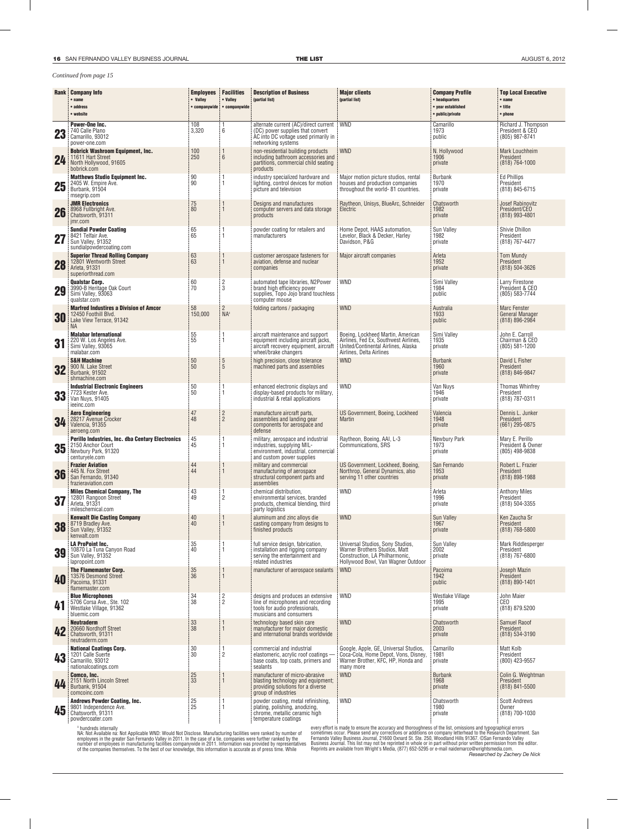## *Continued from page 15*

|                 | <b>Rank Company Info</b><br>$•$ name<br>• address<br>• website                                                 | <b>Employees</b><br>• Valley<br>• companywide | <b>Facilities</b><br>• Valley<br>• companywide | <b>Description of Business</b><br>(partial list)                                                                                              | <b>Major clients</b><br>(partial list)                                                                                                        | <b>Company Profile</b><br>• headquarters<br>• year established<br>• public/private | <b>Top Local Executive</b><br>$•$ name<br>• title<br>$•$ phone      |
|-----------------|----------------------------------------------------------------------------------------------------------------|-----------------------------------------------|------------------------------------------------|-----------------------------------------------------------------------------------------------------------------------------------------------|-----------------------------------------------------------------------------------------------------------------------------------------------|------------------------------------------------------------------------------------|---------------------------------------------------------------------|
| 23              | <b>Power-One Inc.</b><br>740 Calle Plano<br>Camarillo, 93012<br>power-one.com                                  | 108<br>3,320                                  | 6                                              | alternate current (AC)/direct current   WND<br>(DC) power supplies that convert<br>AC into DC voltage used primarily in<br>networking systems |                                                                                                                                               | Camarillo<br>1973<br>public                                                        | Richard J. Thompson<br>President & CEO<br>(805) 987-8741            |
| 24              | <b>Bobrick Washroom Equipment, Inc.</b><br>11611 Hart Street<br>North Hollywood, 91605<br>bobrick.com          | 100<br>250                                    | 6                                              | non-residential building products<br>including bathroom accessories and<br>partitions, commercial child seating<br>products                   | <b>WND</b>                                                                                                                                    | N. Hollywood<br>1906<br>private                                                    | <b>Mark Louchheim</b><br>President<br>$(818) 764 - 1000$            |
| 25              | <b>Matthews Studio Equipment Inc.</b><br>2405 W. Empire Ave.<br>Burbank, 91504<br>msegrip.com                  | 90<br>90                                      |                                                | industry specialized hardware and<br>lighting, control devices for motion<br>picture and television                                           | Major motion picture studios, rental<br>houses and production companies<br>throughout the world-81 countries.                                 | <b>Burbank</b><br>1970<br>private                                                  | <b>Ed Phillips</b><br>President<br>(818) 845-6715                   |
| 26              | <b>JMR Electronics</b><br>8968 Fullbright Ave.<br>Chatsworth, 91311<br>jmr.com                                 | 75<br>80                                      |                                                | Designs and manufactures<br>computer servers and data storage<br>products                                                                     | Raytheon, Unisys, BlueArc, Schneider<br>Electric                                                                                              | Chatsworth<br>1982<br>private                                                      | Josef Rabinovitz<br>President/CEO<br>$(818)$ 993-4801               |
| 27              | <b>Sundial Powder Coating</b><br>8421 Telfair Ave.<br>Sun Valley, 91352<br>sundialpowdercoating.com            | 65<br>65                                      |                                                | powder coating for retailers and<br>manufacturers                                                                                             | Home Depot, HAAS automation,<br>Levelor, Black & Decker, Harley<br>Davidson, P&G                                                              | Sun Valley<br>1982<br>private                                                      | Shivie Dhillon<br>President<br>(818) 767-4477                       |
| 28              | <b>Superior Thread Rolling Company</b><br>12801 Wentworth Street<br>Arleta, 91331<br>superiorthread.com        | 63<br>63                                      |                                                | customer aerospace fasteners for<br>aviation, defense and nuclear<br>companies                                                                | Major aircraft companies                                                                                                                      | Arleta<br>1952<br>private                                                          | <b>Tom Mundy</b><br>President<br>$(818) 504 - 3626$                 |
| 29              | <b>Qualstar Corp.</b><br>3990-B Heritage Oak Court<br>Simi Valley, 93063<br>qualstar.com                       | 60<br>70                                      | $\overline{c}$<br>3                            | automated tape libraries, N2Power<br>brand high efficiency power<br>supplies, Topo Jojo brand touchless<br>computer mouse                     | <b>WND</b>                                                                                                                                    | Simi Valley<br>1984<br>public                                                      | Larry Firestone<br>President & CEO<br>(805) 583-7744                |
| 30              | <b>Marfred Industires a Division of Amcor</b><br>12450 Foothill Blvd.<br>Lake View Terrace, 91342<br>NA.       | 58<br>150,000                                 | $2^{\circ}$<br>NA <sup>1</sup>                 | folding cartons / packaging                                                                                                                   | <b>WND</b>                                                                                                                                    | Australia<br>1933<br>public                                                        | <b>Marc Fenster</b><br><b>General Manager</b><br>$(818) 896 - 2984$ |
| 31              | <b>Malabar International</b><br>220 W. Los Angeles Ave.<br>Simi Valley, 93065<br>malabar.com                   | 55<br>55                                      |                                                | aircraft maintenance and support<br>equipment including aircraft jacks,<br>aircraft recovery equipment, aircraft<br>wheel/brake changers      | Boeing, Lockheed Martin, American<br>Airlines, Fed Ex, Southwest Airlines,<br>United/Continental Airlines, Alaska<br>Airlines, Delta Airlines | Simi Valley<br>1935<br>private                                                     | John E. Carroll<br>Chairman & CEO<br>(805) 581-1200                 |
| 32 <sub>1</sub> | <b>S&amp;H Machine</b><br>900 N. Lake Street<br><b>Burbank, 91502</b><br>shmachine.com                         | 50<br>50                                      | $\overline{5}$<br>5                            | high precision, close tolerance<br>machined parts and assemblies                                                                              | <b>WND</b>                                                                                                                                    | <b>Burbank</b><br>1960<br>private                                                  | David L Fisher<br>President<br>$(818) 846 - 9847$                   |
|                 | <b>Industrial Electronic Engineers</b><br>33 7723 Kester Ave.<br>Van Nuys, 91405<br>ieeinc.com                 | 50<br>50                                      |                                                | enhanced electronic displays and<br>display-based products for military,<br>industrial & retail applications                                  | <b>WND</b>                                                                                                                                    | Van Nuys<br>1946<br>private                                                        | <b>Thomas Whinfrey</b><br>President<br>(818) 787-0311               |
| 34              | <b>Aero Engineering</b><br>28217 Avenue Crocker<br>Valencia, 91355<br>aeroeng.com                              | 47<br>48                                      | $\overline{c}$<br>$\overline{2}$               | manufacture aircraft parts,<br>assemblies and landing gear<br>components for aerospace and<br>defense                                         | US Government, Boeing, Lockheed<br><b>Martin</b>                                                                                              | Valencia<br>1948<br>private                                                        | Dennis L. Junker<br>President<br>(661) 295-0875                     |
| 35              | Perillo Industries, Inc. dba Century Electronics<br>2150 Anchor Court<br>Newbury Park, 91320<br>centuryele.com | 45<br>45                                      |                                                | military, aerospace and industrial<br>industries, supplying MIL-<br>environment, industrial, commercial<br>and custom power supplies          | Raytheon, Boeing, AAI, L-3<br>Communications, SRS                                                                                             | Newbury Park<br>1973<br>private                                                    | Mary E. Perillo<br>President & Owner<br>(805) 498-9838              |
| 36              | <b>Frazier Aviation</b><br>445 N. Fox Street<br>San Fernando, 91340<br>frazieraviation.com                     | 44<br>44                                      |                                                | military and commercial<br>manufacturing of aerospace<br>structural component parts and<br>assemblies                                         | US Government, Lockheed, Boeing,<br>Northrop, General Dynamics, also<br>serving 11 other countries                                            | San Fernando<br>1953<br>private                                                    | Robert L. Frazier<br>President<br>$(818)$ 898-1988                  |
| 37              | <b>Miles Chemical Company, The</b><br>12801 Rangoon Street<br>Arleta, 91331<br>mileschemical.com               | 43<br>49                                      | $\overline{2}$                                 | chemical distribution,<br>environmental services, branded<br>products, chemical blending, third<br>party logistics                            | <b>WND</b>                                                                                                                                    | Arleta<br>1996<br>private                                                          | <b>Anthony Miles</b><br>President<br>(818) 504-3355                 |
| 38              | <b>Kenwalt Die Casting Company</b><br>8719 Bradley Ave.<br>Sun Valley, 91352<br>kenwalt.com                    | 40<br>40                                      |                                                | aluminum and zinc alloys die<br>casting company from designs to<br>finished products                                                          | <b>WND</b>                                                                                                                                    | <b>Sun Valley</b><br>1967<br>private                                               | Ken Zaucha Sr<br>President<br>(818) 768-5800                        |
| 39              | <b>LA ProPoint Inc.</b><br>10870 La Tuna Canyon Road<br>Sun Valley, 91352<br>lapropoint.com                    | 35<br>40                                      |                                                | full service design, fabrication,<br>installation and rigging company<br>serving the entertainment and<br>related industries                  | Universal Studios, Sony Studios,<br>Warner Brothers Studios, Matt<br>Construction, LA Philharmonic,<br>Hollywood Bowl, Van Wagner Outdoor     | Sun Valley<br>2002<br>private                                                      | Mark Riddlesperger<br>President<br>(818) 767-6800                   |
| 40              | The Flamemaster Corp.<br>13576 Desmond Street<br>Pacoima, 91331<br>flamemaster.com                             | 35<br>36                                      |                                                | manufacturer of aerospace sealants                                                                                                            | <b>WND</b>                                                                                                                                    | Pacoima<br>1942<br>public                                                          | Joseph Mazin<br>President<br>$(818) 890 - 1401$                     |
| 41              | <b>Blue Microphones</b><br>5706 Corsa Ave., Ste. 102<br>Westlake Village, 91362<br>bluemic.com                 | 34<br>38                                      | $\frac{2}{2}$                                  | designs and produces an extensive<br>line of microphones and recording<br>tools for audio professionals.<br>musicians and consumers           | <b>WND</b>                                                                                                                                    | Westlake Village<br>1995<br>private                                                | John Maier<br>CEO<br>(818) 879.5200                                 |
| 42              | <b>Neutraderm</b><br>20660 Nordhoff Street<br>Chatsworth, 91311<br>neutraderm.com                              | 33<br>38                                      |                                                | technology based skin care<br>manufacturer for major domestic<br>and international brands worldwide                                           | <b>WND</b>                                                                                                                                    | Chatsworth<br>2003<br>private                                                      | <b>Samuel Raoof</b><br>President<br>(818) 534-3190                  |
| 43              | <b>National Coatings Corp.</b><br>1201 Calle Suerte<br>Camarillo, 93012<br>nationalcoatings.com                | 30<br>30                                      | $\overline{2}$                                 | commercial and industrial<br>elastomeric, acrylic roof coatings -<br>base coats, top coats, primers and<br>sealants                           | Google, Apple, GE, Universal Studios,<br>Coca-Cola, Home Depot, Vons, Disney,<br>Warner Brother, KFC, HP, Honda and<br>many more              | Camarillo<br>1981<br>private                                                       | Matt Kolb<br>President<br>(800) 423-9557                            |
| 44              | Comco, Inc.<br>2151 North Lincoln Street<br>Burbank, 91504<br>comcoinc.com                                     | $\frac{25}{33}$                               |                                                | manufacturer of micro-abrasive<br>blasting technology and equipment;<br>providing solutions for a diverse<br>group of industries              | <b>WND</b>                                                                                                                                    | <b>Burbank</b><br>1968<br>private                                                  | Colin G. Weightman<br>President<br>$(818) 841 - 5500$               |
| 45              | <b>Andrews Powder Coating, Inc.</b><br>9801 Independence Ave.<br>Chatsworth, 91311<br>powdercoater.com         | $\frac{25}{25}$                               |                                                | powder coating, metal refinishing,<br>plating, polishing, anodizing,<br>chrome, metallic ceramic high<br>temperature coatings                 | <b>WND</b>                                                                                                                                    | Chatsworth<br>1980<br>private                                                      | <b>Scott Andrews</b><br>Owner<br>(818) 700-1030                     |

<sup>1</sup> hundreds internally<br>NA: Not Available na: Not Applicable WND: Would Not Disclose. Manufacturing facilities were ranked by number of<br>employees in the greater San Fernando Valley in 2011. In the case of a tie, companies

every effort is made to ensure the accuracy and thoroughness of the list, omissions and typographical errors<br>sometimes occur. Please send any corrections or additions on company letterhead to the Research Department. San<br>F